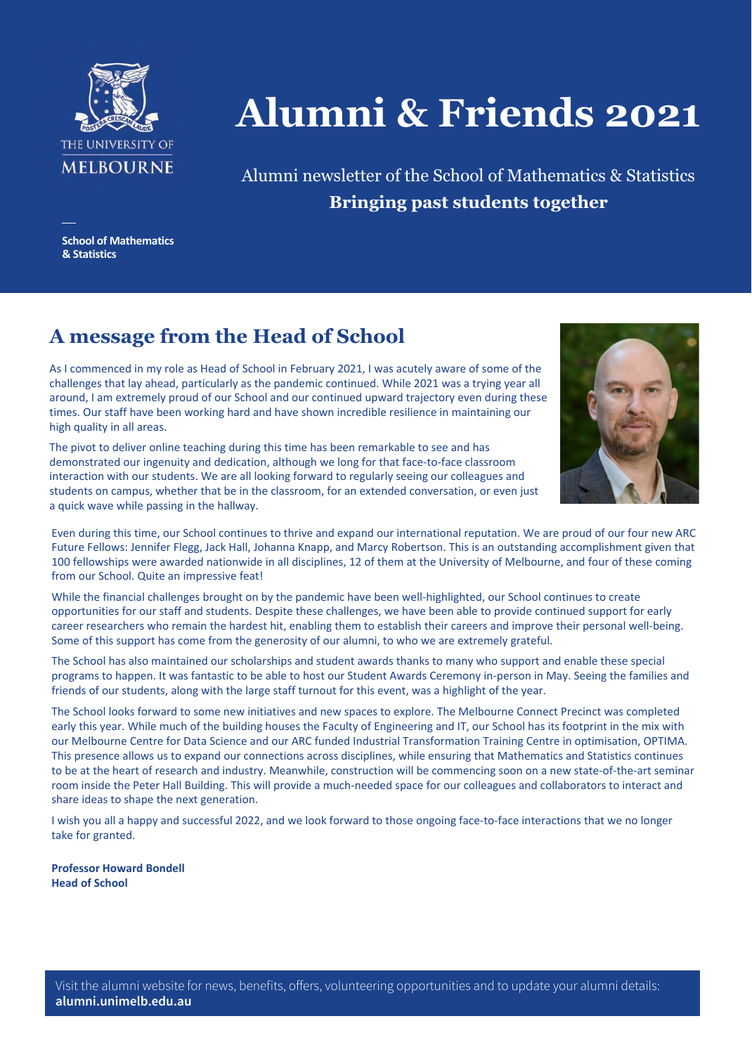

# **Alumni & Friends 2021**

Alumni newsletter of the School of Mathematics & Statistics **Bringing past students together**

**School of Mathematics & Statistics**

# **A message from the Head of School**

As I commenced in my role as Head of School in February 2021, I was acutely aware of some of the challenges that lay ahead, particularly as the pandemic continued. While 2021 was a trying year all around, I am extremely proud of our School and our continued upward trajectory even during these times. Our staff have been working hard and have shown incredible resilience in maintaining our high quality in all areas.



The pivot to deliver online teaching during this time has been remarkable to see and has demonstrated our ingenuity and dedication, although we long for that face-to-face classroom interaction with our students. We are all looking forward to regularly seeing our colleagues and students on campus, whether that be in the classroom, for an extended conversation, or even just a quick wave while passing in the hallway.

Even during this time, our School continues to thrive and expand our international reputation. We are proud of our four new ARC Future Fellows: Jennifer Flegg, Jack Hall, Johanna Knapp, and Marcy Robertson. This is an outstanding accomplishment given that 100 fellowships were awarded nationwide in all disciplines, 12 of them at the University of Melbourne, and four of these coming from our School. Quite an impressive feat!

While the financial challenges brought on by the pandemic have been well-highlighted, our School continues to create opportunities for our staff and students. Despite these challenges, we have been able to provide continued support for early career researchers who remain the hardest hit, enabling them to establish their careers and improve their personal well-being. Some of this support has come from the generosity of our alumni, to who we are extremely grateful.

The School has also maintained our scholarships and student awards thanks to many who support and enable these special programs to happen. It was fantastic to be able to host our Student Awards Ceremony in-person in May. Seeing the families and friends of our students, along with the large staff turnout for this event, was a highlight of the year.

The School looks forward to some new initiatives and new spaces to explore. The Melbourne Connect Precinct was completed early this year. While much of the building houses the Faculty of Engineering and IT, our School has its footprint in the mix with our Melbourne Centre for Data Science and our ARC funded Industrial Transformation Training Centre in optimisation, OPTIMA. This presence allows us to expand our connections across disciplines, while ensuring that Mathematics and Statistics continues to be at the heart of research and industry. Meanwhile, construction will be commencing soon on a new state-of-the-art seminar room inside the Peter Hall Building. This will provide a much-needed space for our colleagues and collaborators to interact and share ideas to shape the next generation.

I wish you all a happy and successful 2022, and we look forward to those ongoing face-to-face interactions that we no longer take for granted.

**Professor Howard Bondell Head of School**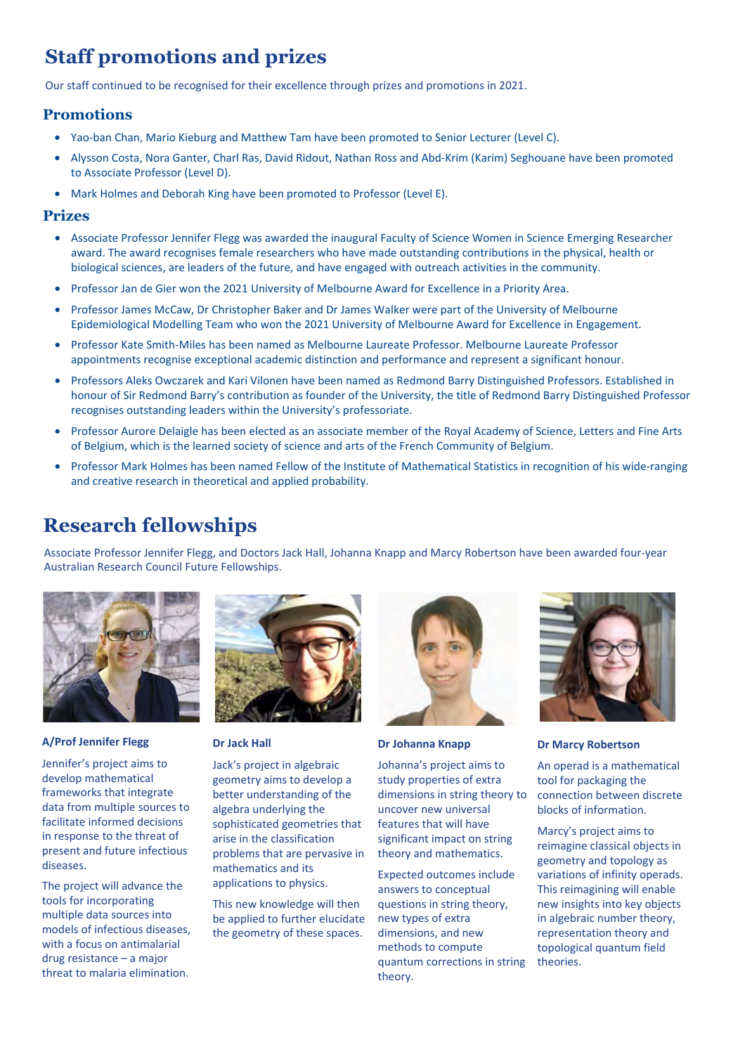# **Staff promotions and prizes**

Our staff continued to be recognised for their excellence through prizes and promotions in 2021.

#### **Promotions**

- Yao-ban Chan, Mario Kieburg and Matthew Tam have been promoted to Senior Lecturer (Level C).
- Alysson Costa, Nora Ganter, Charl Ras, David Ridout, Nathan Ross and Abd-Krim (Karim) Seghouane have been promoted to Associate Professor (Level D).
- Mark Holmes and Deborah King have been promoted to Professor (Level E).

#### **Prizes**

- Associate Professor Jennifer Flegg was awarded the inaugural Faculty of Science Women in Science Emerging Researcher award. The award recognises female researchers who have made outstanding contributions in the physical, health or biological sciences, are leaders of the future, and have engaged with outreach activities in the community.
- Professor Jan de Gier won the 2021 University of Melbourne Award for Excellence in a Priority Area.
- Professor James McCaw, Dr Christopher Baker and Dr James Walker were part of the University of Melbourne Epidemiological Modelling Team who won the 2021 University of Melbourne Award for Excellence in Engagement.
- Professor Kate Smith-Miles has been named as Melbourne Laureate Professor. Melbourne Laureate Professor appointments recognise exceptional academic distinction and performance and represent a significant honour.
- Professors Aleks Owczarek and Kari Vilonen have been named as Redmond Barry Distinguished Professors. Established in honour of Sir Redmond Barry's contribution as founder of the University, the title of Redmond Barry Distinguished Professor recognises outstanding leaders within the University's professoriate.
- Professor Aurore Delaigle has been elected as an associate member of the Royal Academy of Science, Letters and Fine Arts of Belgium, which is the learned society of science and arts of the French Community of Belgium.
- Professor Mark Holmes has been named Fellow of the Institute of Mathematical Statistics in recognition of his wide-ranging and creative research in theoretical and applied probability.

# **Research fellowships**

Associate Professor Jennifer Flegg, and Doctors Jack Hall, Johanna Knapp and Marcy Robertson have been awarded four-year Australian Research Council Future Fellowships.



#### **A/Prof Jennifer Flegg**

Jennifer's project aims to develop mathematical frameworks that integrate data from multiple sources to facilitate informed decisions in response to the threat of present and future infectious diseases.

The project will advance the tools for incorporating multiple data sources into models of infectious diseases, with a focus on antimalarial drug resistance – a major threat to malaria elimination.



#### **Dr Jack Hall**

Jack's project in algebraic geometry aims to develop a better understanding of the algebra underlying the sophisticated geometries that arise in the classification problems that are pervasive in mathematics and its applications to physics.

This new knowledge will then be applied to further elucidate the geometry of these spaces.



**Dr Johanna Knapp**

Johanna's project aims to study properties of extra dimensions in string theory to uncover new universal features that will have significant impact on string theory and mathematics.

Expected outcomes include answers to conceptual questions in string theory, new types of extra dimensions, and new methods to compute quantum corrections in string theory.



#### **Dr Marcy Robertson**

An operad is a mathematical tool for packaging the connection between discrete blocks of information.

Marcy's project aims to reimagine classical objects in geometry and topology as variations of infinity operads. This reimagining will enable new insights into key objects in algebraic number theory, representation theory and topological quantum field theories.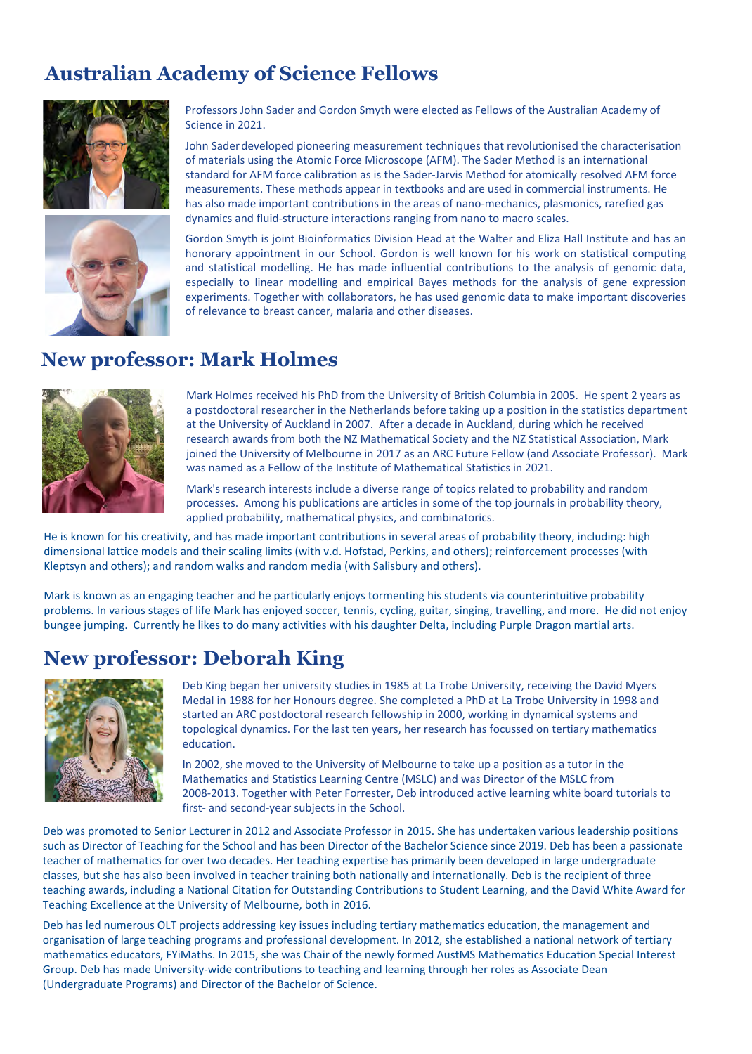# **Australian Academy of Science Fellows**





Professors John Sader and Gordon Smyth were elected as Fellows of the Australian Academy of Science in 2021.

John Sader developed pioneering measurement techniques that revolutionised the characterisation of materials using the Atomic Force Microscope (AFM). The Sader Method is an international standard for AFM force calibration as is the Sader-Jarvis Method for atomically resolved AFM force measurements. These methods appear in textbooks and are used in commercial instruments. He has also made important contributions in the areas of nano-mechanics, plasmonics, rarefied gas dynamics and fluid-structure interactions ranging from nano to macro scales.

Gordon Smyth is joint Bioinformatics Division Head at the Walter and Eliza Hall Institute and has an honorary appointment in our School. Gordon is well known for his work on statistical computing and statistical modelling. He has made influential contributions to the analysis of genomic data, especially to linear modelling and empirical Bayes methods for the analysis of gene expression experiments. Together with collaborators, he has used genomic data to make important discoveries of relevance to breast cancer, malaria and other diseases.

## **New professor: Mark Holmes**



Mark Holmes received his PhD from the University of British Columbia in 2005. He spent 2 years as a postdoctoral researcher in the Netherlands before taking up a position in the statistics department at the University of Auckland in 2007. After a decade in Auckland, during which he received research awards from both the NZ Mathematical Society and the NZ Statistical Association, Mark joined the University of Melbourne in 2017 as an ARC Future Fellow (and Associate Professor). Mark was named as a Fellow of the Institute of Mathematical Statistics in 2021.

Mark's research interests include a diverse range of topics related to probability and random processes. Among his publications are articles in some of the top journals in probability theory, applied probability, mathematical physics, and combinatorics.

He is known for his creativity, and has made important contributions in several areas of probability theory, including: high dimensional lattice models and their scaling limits (with v.d. Hofstad, Perkins, and others); reinforcement processes (with Kleptsyn and others); and random walks and random media (with Salisbury and others).

Mark is known as an engaging teacher and he particularly enjoys tormenting his students via counterintuitive probability problems. In various stages of life Mark has enjoyed soccer, tennis, cycling, guitar, singing, travelling, and more. He did not enjoy bungee jumping. Currently he likes to do many activities with his daughter Delta, including Purple Dragon martial arts.

## **New professor: Deborah King**



Deb King began her university studies in 1985 at La Trobe University, receiving the David Myers Medal in 1988 for her Honours degree. She completed a PhD at La Trobe University in 1998 and started an ARC postdoctoral research fellowship in 2000, working in dynamical systems and topological dynamics. For the last ten years, her research has focussed on tertiary mathematics education.

In 2002, she moved to the University of Melbourne to take up a position as a tutor in the Mathematics and Statistics Learning Centre (MSLC) and was Director of the MSLC from 2008-2013. Together with Peter Forrester, Deb introduced active learning white board tutorials to first- and second-year subjects in the School.

Deb was promoted to Senior Lecturer in 2012 and Associate Professor in 2015. She has undertaken various leadership positions such as Director of Teaching for the School and has been Director of the Bachelor Science since 2019. Deb has been a passionate teacher of mathematics for over two decades. Her teaching expertise has primarily been developed in large undergraduate classes, but she has also been involved in teacher training both nationally and internationally. Deb is the recipient of three teaching awards, including a National Citation for Outstanding Contributions to Student Learning, and the David White Award for Teaching Excellence at the University of Melbourne, both in 2016.

Deb has led numerous OLT projects addressing key issues including tertiary mathematics education, the management and organisation of large teaching programs and professional development. In 2012, she established a national network of tertiary mathematics educators, FYiMaths. In 2015, she was Chair of the newly formed AustMS Mathematics Education Special Interest Group. Deb has made University-wide contributions to teaching and learning through her roles as Associate Dean (Undergraduate Programs) and Director of the Bachelor of Science.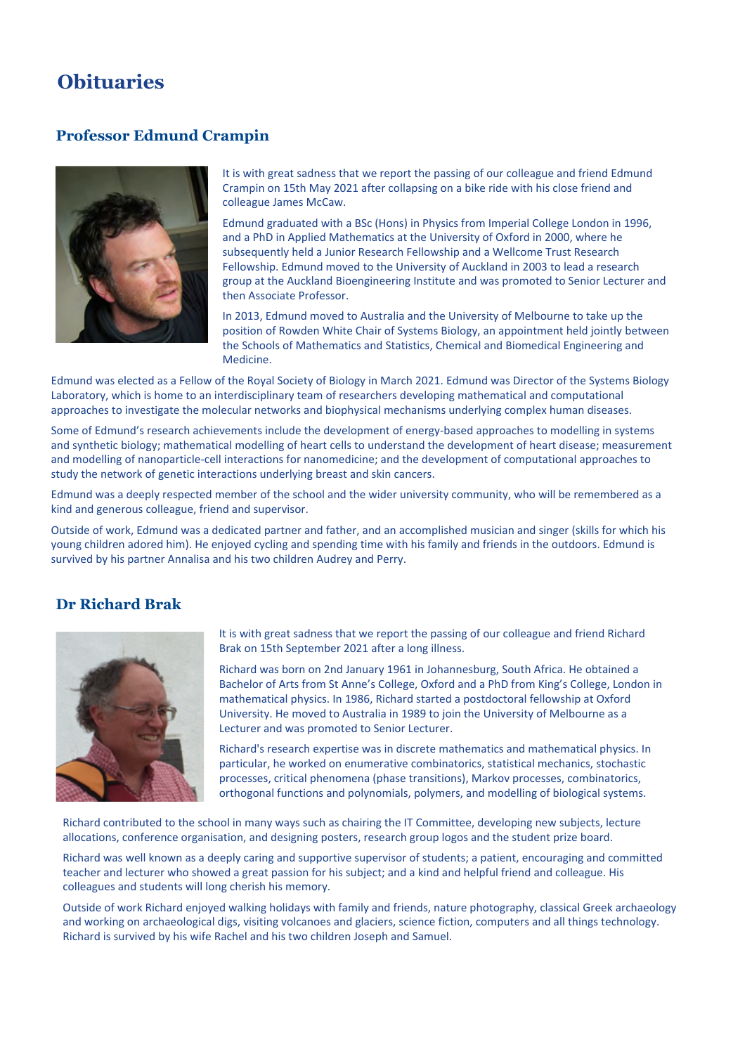## **Obituaries**

#### **Professor Edmund Crampin**



It is with great sadness that we report the passing of our colleague and friend Edmund Crampin on 15th May 2021 after collapsing on a bike ride with his close friend and colleague James McCaw.

Edmund graduated with a BSc (Hons) in Physics from Imperial College London in 1996, and a PhD in Applied Mathematics at the University of Oxford in 2000, where he subsequently held a Junior Research Fellowship and a Wellcome Trust Research Fellowship. Edmund moved to the University of Auckland in 2003 to lead a research group at the Auckland Bioengineering Institute and was promoted to Senior Lecturer and then Associate Professor.

In 2013, Edmund moved to Australia and the University of Melbourne to take up the position of Rowden White Chair of Systems Biology, an appointment held jointly between the Schools of Mathematics and Statistics, Chemical and Biomedical Engineering and Medicine.

Edmund was elected as a Fellow of the Royal Society of Biology in March 2021. Edmund was Director of the Systems Biology Laboratory, which is home to an interdisciplinary team of researchers developing mathematical and computational approaches to investigate the molecular networks and biophysical mechanisms underlying complex human diseases.

Some of Edmund's research achievements include the development of energy-based approaches to modelling in systems and synthetic biology; mathematical modelling of heart cells to understand the development of heart disease; measurement and modelling of nanoparticle-cell interactions for nanomedicine; and the development of computational approaches to study the network of genetic interactions underlying breast and skin cancers.

Edmund was a deeply respected member of the school and the wider university community, who will be remembered as a kind and generous colleague, friend and supervisor.

Outside of work, Edmund was a dedicated partner and father, and an accomplished musician and singer (skills for which his young children adored him). He enjoyed cycling and spending time with his family and friends in the outdoors. Edmund is survived by his partner Annalisa and his two children Audrey and Perry.

#### **Dr Richard Brak**



It is with great sadness that we report the passing of our colleague and friend Richard Brak on 15th September 2021 after a long illness.

Richard was born on 2nd January 1961 in Johannesburg, South Africa. He obtained a Bachelor of Arts from St Anne's College, Oxford and a PhD from King's College, London in mathematical physics. In 1986, Richard started a postdoctoral fellowship at Oxford University. He moved to Australia in 1989 to join the University of Melbourne as a Lecturer and was promoted to Senior Lecturer.

Richard's research expertise was in discrete mathematics and mathematical physics. In particular, he worked on enumerative combinatorics, statistical mechanics, stochastic processes, critical phenomena (phase transitions), Markov processes, combinatorics, orthogonal functions and polynomials, polymers, and modelling of biological systems.

Richard contributed to the school in many ways such as chairing the IT Committee, developing new subjects, lecture allocations, conference organisation, and designing posters, research group logos and the student prize board.

Richard was well known as a deeply caring and supportive supervisor of students; a patient, encouraging and committed teacher and lecturer who showed a great passion for his subject; and a kind and helpful friend and colleague. His colleagues and students will long cherish his memory.

Outside of work Richard enjoyed walking holidays with family and friends, nature photography, classical Greek archaeology and working on archaeological digs, visiting volcanoes and glaciers, science fiction, computers and all things technology. Richard is survived by his wife Rachel and his two children Joseph and Samuel.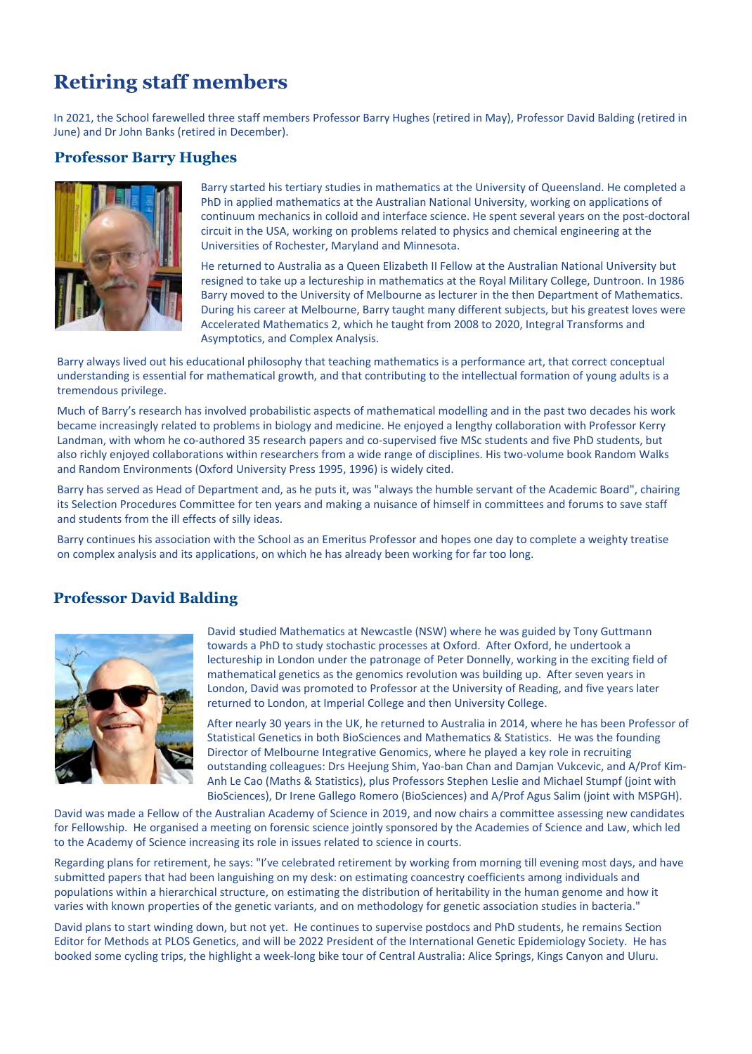# **Retiring staff members**

In 2021, the School farewelled three staff members Professor Barry Hughes (retired in May), Professor David Balding (retired in June) and Dr John Banks (retired in December).

#### **Professor Barry Hughes**



Barry started his tertiary studies in mathematics at the University of Queensland. He completed a PhD in applied mathematics at the Australian National University, working on applications of continuum mechanics in colloid and interface science. He spent several years on the post-doctoral circuit in the USA, working on problems related to physics and chemical engineering at the Universities of Rochester, Maryland and Minnesota.

He returned to Australia as a Queen Elizabeth II Fellow at the Australian National University but resigned to take up a lectureship in mathematics at the Royal Military College, Duntroon. In 1986 Barry moved to the University of Melbourne as lecturer in the then Department of Mathematics. During his career at Melbourne, Barry taught many different subjects, but his greatest loves were Accelerated Mathematics 2, which he taught from 2008 to 2020, Integral Transforms and Asymptotics, and Complex Analysis.

Barry always lived out his educational philosophy that teaching mathematics is a performance art, that correct conceptual understanding is essential for mathematical growth, and that contributing to the intellectual formation of young adults is a tremendous privilege.

Much of Barry's research has involved probabilistic aspects of mathematical modelling and in the past two decades his work became increasingly related to problems in biology and medicine. He enjoyed a lengthy collaboration with Professor Kerry Landman, with whom he co-authored 35 research papers and co-supervised five MSc students and five PhD students, but also richly enjoyed collaborations within researchers from a wide range of disciplines. His two-volume book Random Walks and Random Environments (Oxford University Press 1995, 1996) is widely cited.

Barry has served as Head of Department and, as he puts it, was "always the humble servant of the Academic Board", chairing its Selection Procedures Committee for ten years and making a nuisance of himself in committees and forums to save staff and students from the ill effects of silly ideas.

Barry continues his association with the School as an Emeritus Professor and hopes one day to complete a weighty treatise on complex analysis and its applications, on which he has already been working for far too long.

#### **Professor David Balding**



David **s**tudied Mathematics at Newcastle (NSW) where he was guided by Tony Guttmann towards a PhD to study stochastic processes at Oxford. After Oxford, he undertook a lectureship in London under the patronage of Peter Donnelly, working in the exciting field of mathematical genetics as the genomics revolution was building up. After seven years in London, David was promoted to Professor at the University of Reading, and five years later returned to London, at Imperial College and then University College.

After nearly 30 years in the UK, he returned to Australia in 2014, where he has been Professor of Statistical Genetics in both BioSciences and Mathematics & Statistics. He was the founding Director of Melbourne Integrative Genomics, where he played a key role in recruiting outstanding colleagues: Drs Heejung Shim, Yao-ban Chan and Damjan Vukcevic, and A/Prof Kim-Anh Le Cao (Maths & Statistics), plus Professors Stephen Leslie and Michael Stumpf (joint with BioSciences), Dr Irene Gallego Romero (BioSciences) and A/Prof Agus Salim (joint with MSPGH).

David was made a Fellow of the Australian Academy of Science in 2019, and now chairs a committee assessing new candidates for Fellowship. He organised a meeting on forensic science jointly sponsored by the Academies of Science and Law, which led to the Academy of Science increasing its role in issues related to science in courts.

Regarding plans for retirement, he says: "I've celebrated retirement by working from morning till evening most days, and have submitted papers that had been languishing on my desk: on estimating coancestry coefficients among individuals and populations within a hierarchical structure, on estimating the distribution of heritability in the human genome and how it varies with known properties of the genetic variants, and on methodology for genetic association studies in bacteria."

David plans to start winding down, but not yet. He continues to supervise postdocs and PhD students, he remains Section Editor for Methods at PLOS Genetics, and will be 2022 President of the International Genetic Epidemiology Society. He has booked some cycling trips, the highlight a week-long bike tour of Central Australia: Alice Springs, Kings Canyon and Uluru.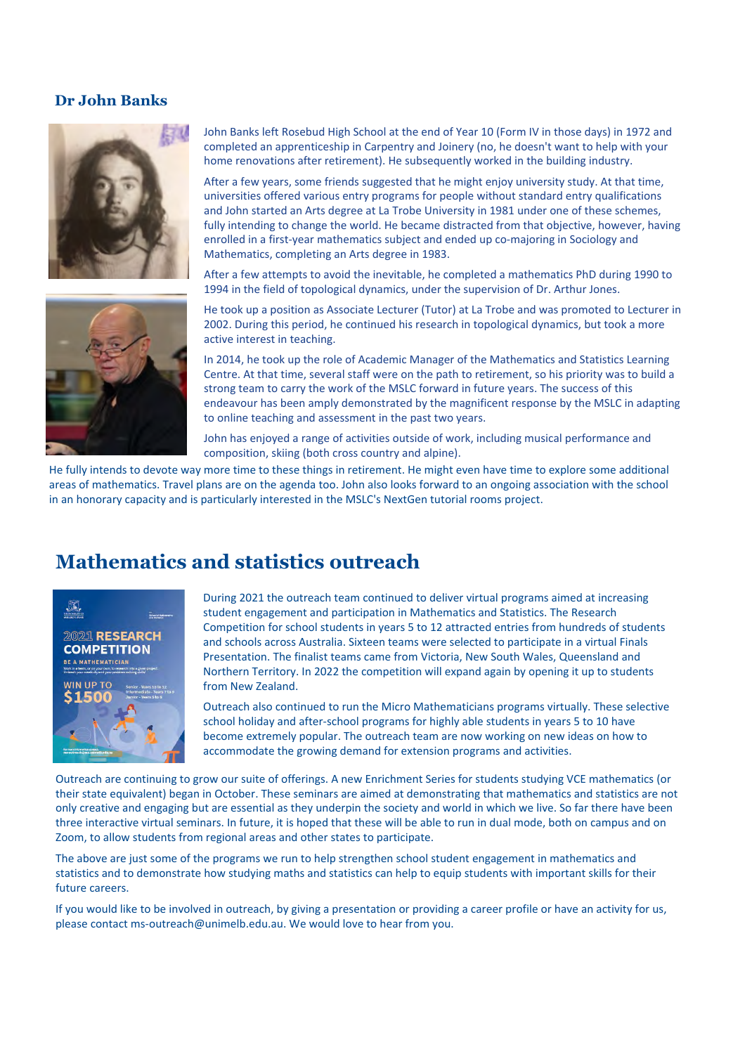#### **Dr John Banks**





John Banks left Rosebud High School at the end of Year 10 (Form IV in those days) in 1972 and completed an apprenticeship in Carpentry and Joinery (no, he doesn't want to help with your home renovations after retirement). He subsequently worked in the building industry.

After a few years, some friends suggested that he might enjoy university study. At that time, universities offered various entry programs for people without standard entry qualifications and John started an Arts degree at La Trobe University in 1981 under one of these schemes, fully intending to change the world. He became distracted from that objective, however, having enrolled in a first-year mathematics subject and ended up co-majoring in Sociology and Mathematics, completing an Arts degree in 1983.

After a few attempts to avoid the inevitable, he completed a mathematics PhD during 1990 to 1994 in the field of topological dynamics, under the supervision of Dr. Arthur Jones.

He took up a position as Associate Lecturer (Tutor) at La Trobe and was promoted to Lecturer in 2002. During this period, he continued his research in topological dynamics, but took a more active interest in teaching.

In 2014, he took up the role of Academic Manager of the Mathematics and Statistics Learning Centre. At that time, several staff were on the path to retirement, so his priority was to build a strong team to carry the work of the MSLC forward in future years. The success of this endeavour has been amply demonstrated by the magnificent response by the MSLC in adapting to online teaching and assessment in the past two years.

John has enjoyed a range of activities outside of work, including musical performance and composition, skiing (both cross country and alpine).

He fully intends to devote way more time to these things in retirement. He might even have time to explore some additional areas of mathematics. Travel plans are on the agenda too. John also looks forward to an ongoing association with the school in an honorary capacity and is particularly interested in the MSLC's NextGen tutorial rooms project.

#### **Mathematics and statistics outreach**



During 2021 the outreach team continued to deliver virtual programs aimed at increasing student engagement and participation in Mathematics and Statistics. The Research Competition for school students in years 5 to 12 attracted entries from hundreds of students and schools across Australia. Sixteen teams were selected to participate in a virtual Finals Presentation. The finalist teams came from Victoria, New South Wales, Queensland and Northern Territory. In 2022 the competition will expand again by opening it up to students from New Zealand.

Outreach also continued to run the Micro Mathematicians programs virtually. These selective school holiday and after-school programs for highly able students in years 5 to 10 have become extremely popular. The outreach team are now working on new ideas on how to accommodate the growing demand for extension programs and activities.

Outreach are continuing to grow our suite of offerings. A new Enrichment Series for students studying VCE mathematics (or their state equivalent) began in October. These seminars are aimed at demonstrating that mathematics and statistics are not only creative and engaging but are essential as they underpin the society and world in which we live. So far there have been three interactive virtual seminars. In future, it is hoped that these will be able to run in dual mode, both on campus and on Zoom, to allow students from regional areas and other states to participate.

The above are just some of the programs we run to help strengthen school student engagement in mathematics and statistics and to demonstrate how studying maths and statistics can help to equip students with important skills for their future careers.

If you would like to be involved in outreach, by giving a presentation or providing a career profile or have an activity for us, please contact ms-outreach@unimelb.edu.au. We would love to hear from you.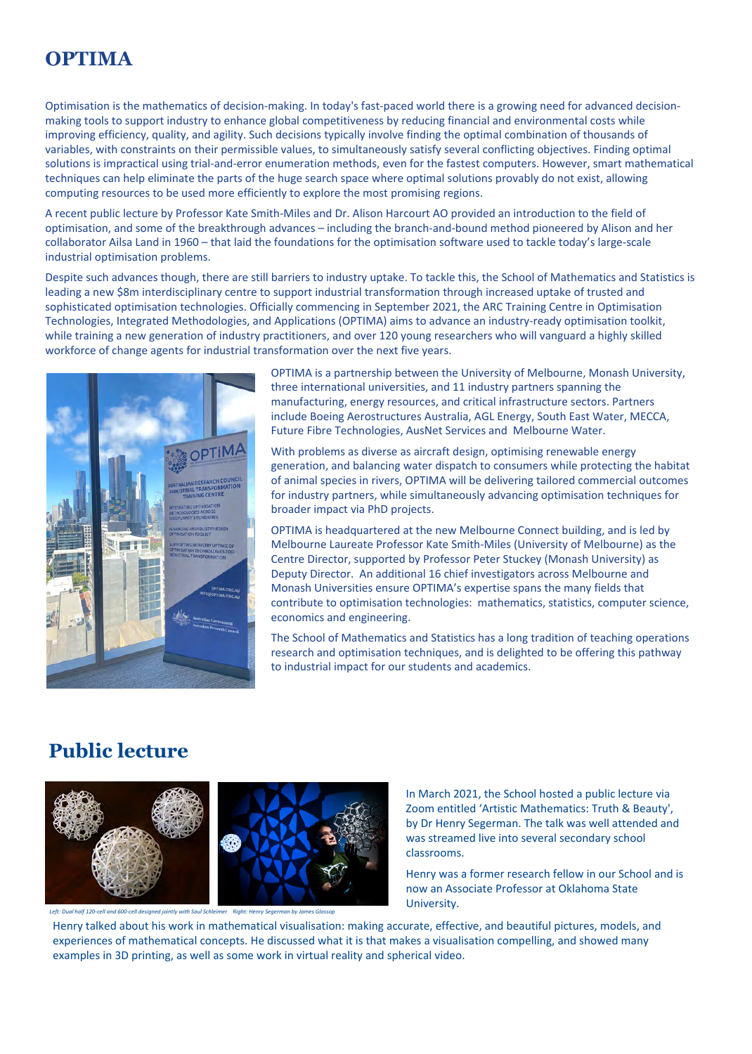# **OPTIMA**

Optimisation is the mathematics of decision-making. In today's fast-paced world there is a growing need for advanced decisionmaking tools to support industry to enhance global competitiveness by reducing financial and environmental costs while improving efficiency, quality, and agility. Such decisions typically involve finding the optimal combination of thousands of variables, with constraints on their permissible values, to simultaneously satisfy several conflicting objectives. Finding optimal solutions is impractical using trial-and-error enumeration methods, even for the fastest computers. However, smart mathematical techniques can help eliminate the parts of the huge search space where optimal solutions provably do not exist, allowing computing resources to be used more efficiently to explore the most promising regions.

A recent [public lecture](https://www.youtube.com/watch?v=jdcCtOp80jY) by Professor Kate Smith-Miles and Dr. Alison Harcourt AO provided an introduction to the field of optimisation, and some of the breakthrough advances – including the branch-and-bound method pioneered by Alison and her collaborator Ailsa Land in 1960 – that laid the foundations for the optimisation software used to tackle today's large-scale industrial optimisation problems.

Despite such advances though, there are still barriers to industry uptake. To tackle this, the School of Mathematics and Statistics is leading a new \$8m interdisciplinary centre to support industrial transformation through increased uptake of trusted and sophisticated optimisation technologies. Officially commencing in September 2021, the ARC Training Centre in Optimisation Technologies, Integrated Methodologies, and Applications (OPTIMA) aims to advance an industry-ready optimisation toolkit, while training a new generation of industry practitioners, and over 120 young researchers who will vanguard a highly skilled workforce of change agents for industrial transformation over the next five years.



OPTIMA is a partnership between the University of Melbourne, Monash University, three international universities, and 11 industry partners spanning the manufacturing, energy resources, and critical infrastructure sectors. Partners include Boeing Aerostructures Australia, AGL Energy, South East Water, MECCA, Future Fibre Technologies, AusNet Services and Melbourne Water.

With problems as diverse as aircraft design, optimising renewable energy generation, and balancing water dispatch to consumers while protecting the habitat of animal species in rivers, OPTIMA will be delivering tailored commercial outcomes for industry partners, while simultaneously advancing optimisation techniques for broader impact via PhD projects.

OPTIMA is headquartered at the new Melbourne Connect building, and is led by Melbourne Laureate Professor Kate Smith-Miles (University of Melbourne) as the Centre Director, supported by Professor Peter Stuckey (Monash University) as Deputy Director. An additional 16 chief investigators across Melbourne and Monash Universities ensure OPTIMA's expertise spans the many fields that contribute to optimisation technologies: mathematics, statistics, computer science, economics and engineering.

The School of Mathematics and Statistics has a long tradition of teaching operations research and optimisation techniques, and is delighted to be offering this pathway to industrial impact for our students and academics.

#### **Public lecture**





*Left: Dual half 120-cell and 600-cell designed jointly with Saul Schleimer Right: Henry Segerman by James Glossop*

In March 2021, the School hosted a public lecture via Zoom entitled 'Artistic Mathematics: Truth & Beauty', by Dr Henry Segerman. The talk was well attended and was streamed live into several secondary school classrooms.

Henry was a former research fellow in our School and is now an Associate Professor at Oklahoma State University.

Henry talked about his work in mathematical visualisation: making accurate, effective, and beautiful pictures, models, and experiences of mathematical concepts. He discussed what it is that makes a visualisation compelling, and showed many examples in 3D printing, as well as some work in virtual reality and spherical video.